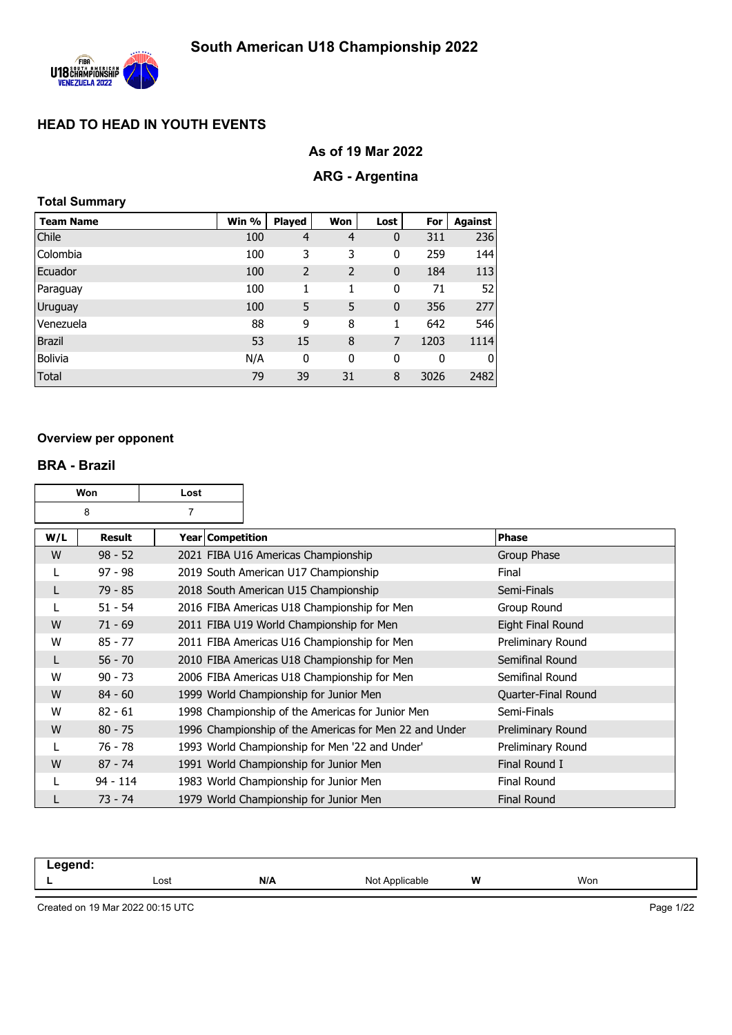

## **As of 19 Mar 2022**

### **ARG - Argentina**

### **Total Summary**

| <b>Team Name</b> | Win % | <b>Played</b>  | Won            | Lost        | For  | <b>Against</b> |
|------------------|-------|----------------|----------------|-------------|------|----------------|
| Chile            | 100   | $\overline{4}$ | $\overline{4}$ | 0           | 311  | 236            |
| Colombia         | 100   | 3              | 3              | 0           | 259  | 144            |
| Ecuador          | 100   | $\overline{2}$ | $\overline{2}$ | $\mathbf 0$ | 184  | 113            |
| Paraguay         | 100   | 1              | 1              | 0           | 71   | 52             |
| Uruguay          | 100   | 5              | 5              | $\mathbf 0$ | 356  | 277            |
| Venezuela        | 88    | 9              | 8              | 1           | 642  | 546            |
| <b>Brazil</b>    | 53    | 15             | 8              | 7           | 1203 | 1114           |
| <b>Bolivia</b>   | N/A   | 0              | 0              | 0           | 0    | 0              |
| <b>Total</b>     | 79    | 39             | 31             | 8           | 3026 | 2482           |

#### **Overview per opponent**

#### **BRA - Brazil**

|     | Won                 | Lost               |                                                        |                     |
|-----|---------------------|--------------------|--------------------------------------------------------|---------------------|
|     | $\overline{7}$<br>8 |                    |                                                        |                     |
| W/L | Result              | Year   Competition |                                                        | <b>Phase</b>        |
| W   | $98 - 52$           |                    | 2021 FIBA U16 Americas Championship                    | Group Phase         |
|     | $97 - 98$           |                    | 2019 South American U17 Championship                   | Final               |
| L   | $79 - 85$           |                    | 2018 South American U15 Championship                   | Semi-Finals         |
| L   | $51 - 54$           |                    | 2016 FIBA Americas U18 Championship for Men            | Group Round         |
| W   | $71 - 69$           |                    | 2011 FIBA U19 World Championship for Men               | Eight Final Round   |
| W   | $85 - 77$           |                    | 2011 FIBA Americas U16 Championship for Men            | Preliminary Round   |
| L   | $56 - 70$           |                    | 2010 FIBA Americas U18 Championship for Men            | Semifinal Round     |
| W   | $90 - 73$           |                    | 2006 FIBA Americas U18 Championship for Men            | Semifinal Round     |
| W   | $84 - 60$           |                    | 1999 World Championship for Junior Men                 | Quarter-Final Round |
| W   | $82 - 61$           |                    | 1998 Championship of the Americas for Junior Men       | Semi-Finals         |
| W   | $80 - 75$           |                    | 1996 Championship of the Americas for Men 22 and Under | Preliminary Round   |
|     | $76 - 78$           |                    | 1993 World Championship for Men '22 and Under'         | Preliminary Round   |
| W   | $87 - 74$           |                    | 1991 World Championship for Junior Men                 | Final Round I       |
|     | $94 - 114$          |                    | 1983 World Championship for Junior Men                 | <b>Final Round</b>  |
| L   | $73 - 74$           |                    | 1979 World Championship for Junior Men                 | <b>Final Round</b>  |

| <b>The Command of The Command of The Command of The Command of The Command of The Command of The Command of The Command of The Command of The Command of The Command of The Command of The Command of The Command of The Command</b><br>—— J —— — |      |     |                |   |     |  |
|---------------------------------------------------------------------------------------------------------------------------------------------------------------------------------------------------------------------------------------------------|------|-----|----------------|---|-----|--|
|                                                                                                                                                                                                                                                   | Lost | N/A | Not Applicable | W | Won |  |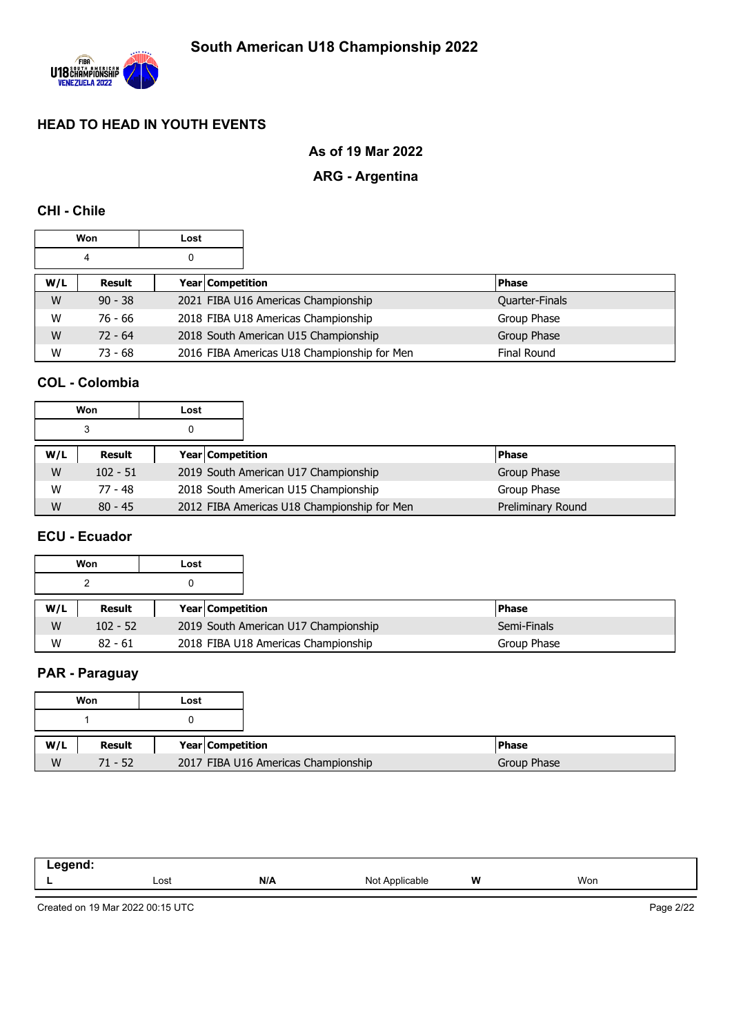

## **As of 19 Mar 2022**

### **ARG - Argentina**

### **CHI - Chile**

| Won<br>Lost |                            |  |  |                                             |                    |
|-------------|----------------------------|--|--|---------------------------------------------|--------------------|
| 0<br>4      |                            |  |  |                                             |                    |
| W/L         | Year Competition<br>Result |  |  |                                             | <b>Phase</b>       |
| W           | $90 - 38$                  |  |  | 2021 FIBA U16 Americas Championship         | Quarter-Finals     |
| W           | 76 - 66                    |  |  | 2018 FIBA U18 Americas Championship         | Group Phase        |
| W           | $72 - 64$                  |  |  | 2018 South American U15 Championship        | Group Phase        |
| W           | $73 - 68$                  |  |  | 2016 FIBA Americas U18 Championship for Men | <b>Final Round</b> |

## **COL - Colombia**

|     | Won        | Lost |                  |                                             |  |                   |
|-----|------------|------|------------------|---------------------------------------------|--|-------------------|
|     | 3          |      |                  |                                             |  |                   |
| W/L | Result     |      | Year Competition |                                             |  | <b>Phase</b>      |
| W   | $102 - 51$ |      |                  | 2019 South American U17 Championship        |  | Group Phase       |
| W   | 77 - 48    |      |                  | 2018 South American U15 Championship        |  | Group Phase       |
| W   | $80 - 45$  |      |                  | 2012 FIBA Americas U18 Championship for Men |  | Preliminary Round |

### **ECU - Ecuador**

|     | Won           | Lost |                  |                                      |               |
|-----|---------------|------|------------------|--------------------------------------|---------------|
|     |               |      |                  |                                      |               |
| W/L | <b>Result</b> |      | Year Competition |                                      | <b>IPhase</b> |
| W   | $102 - 52$    |      |                  | 2019 South American U17 Championship | Semi-Finals   |
| W   | $82 - 61$     |      |                  | 2018 FIBA U18 Americas Championship  | Group Phase   |

## **PAR - Paraguay**

|     | Won       | Lost |                                     |              |
|-----|-----------|------|-------------------------------------|--------------|
|     |           |      |                                     |              |
| W/L | Result    |      | Year Competition                    | <b>Phase</b> |
| W   | $71 - 52$ |      | 2017 FIBA U16 Americas Championship | Group Phase  |

| المسمية<br>_____<br>- - - |      |     |                                         |   |     |
|---------------------------|------|-----|-----------------------------------------|---|-----|
| --                        | Lost | N/A | $N \cap$<br>Applicable<br>$\sim$ $\sim$ | W | Won |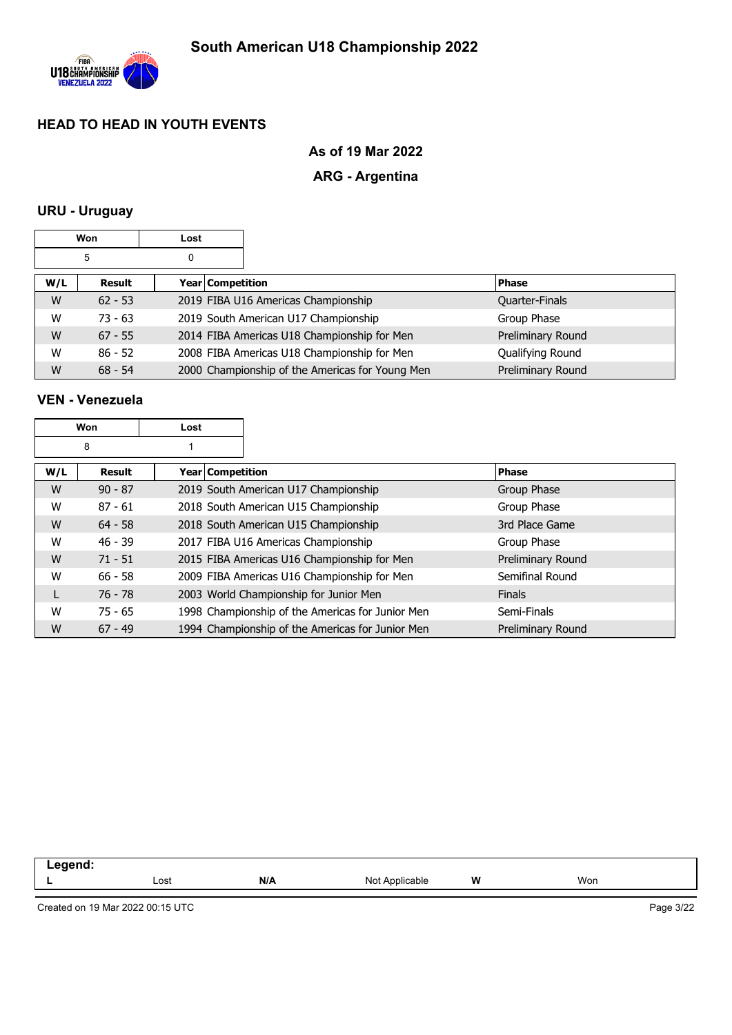

### **As of 19 Mar 2022**

## **ARG - Argentina**

## **URU - Uruguay**

| Won<br>Lost |                            |  |  |                                                 |                       |
|-------------|----------------------------|--|--|-------------------------------------------------|-----------------------|
| 5<br>0      |                            |  |  |                                                 |                       |
| W/L         | Year Competition<br>Result |  |  | <b>Phase</b>                                    |                       |
| W           | $62 - 53$                  |  |  | 2019 FIBA U16 Americas Championship             | <b>Quarter-Finals</b> |
| W           | $73 - 63$                  |  |  | 2019 South American U17 Championship            | Group Phase           |
| W           | $67 - 55$                  |  |  | 2014 FIBA Americas U18 Championship for Men     | Preliminary Round     |
| W           | $86 - 52$                  |  |  | 2008 FIBA Americas U18 Championship for Men     | Qualifying Round      |
| W           | $68 - 54$                  |  |  | 2000 Championship of the Americas for Young Men | Preliminary Round     |

## **VEN - Venezuela**

|     | Won<br>Lost |                  |                                                  |                   |
|-----|-------------|------------------|--------------------------------------------------|-------------------|
|     | 8           |                  |                                                  |                   |
| W/L | Result      | Year Competition |                                                  | <b>Phase</b>      |
| W   | $90 - 87$   |                  | 2019 South American U17 Championship             | Group Phase       |
| W   | $87 - 61$   |                  | 2018 South American U15 Championship             | Group Phase       |
| W   | $64 - 58$   |                  | 2018 South American U15 Championship             | 3rd Place Game    |
| W   | $46 - 39$   |                  | 2017 FIBA U16 Americas Championship              | Group Phase       |
| W   | $71 - 51$   |                  | 2015 FIBA Americas U16 Championship for Men      | Preliminary Round |
| W   | $66 - 58$   |                  | 2009 FIBA Americas U16 Championship for Men      | Semifinal Round   |
|     | $76 - 78$   |                  | 2003 World Championship for Junior Men           | <b>Finals</b>     |
| W   | $75 - 65$   |                  | 1998 Championship of the Americas for Junior Men | Semi-Finals       |
| W   | $67 - 49$   |                  | 1994 Championship of the Americas for Junior Men | Preliminary Round |

| -----<br>-- - |      |     |                           |          |     |  |
|---------------|------|-----|---------------------------|----------|-----|--|
|               | Lost | N/A | Not.<br><b>\pplicable</b> | W<br>. . | Won |  |
|               |      |     |                           |          |     |  |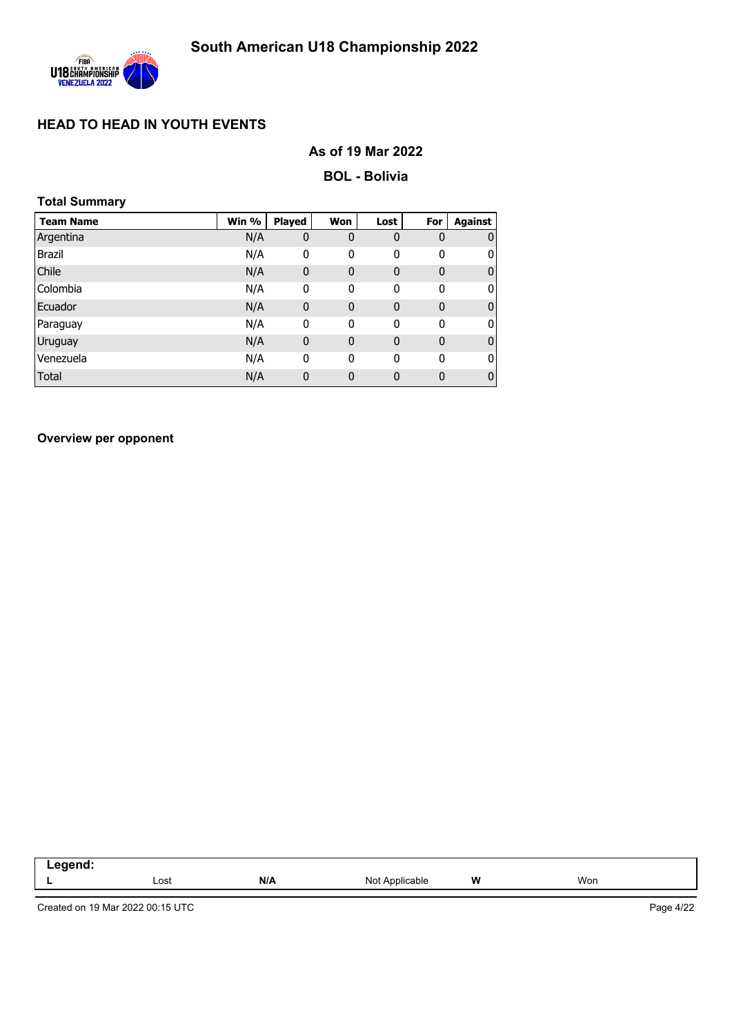

### **As of 19 Mar 2022**

#### **BOL - Bolivia**

| <b>Total Summary</b> |       |              |              |             |              |                |
|----------------------|-------|--------------|--------------|-------------|--------------|----------------|
| <b>Team Name</b>     | Win % | Played       | <b>Won</b>   | Lost        | For          | <b>Against</b> |
| Argentina            | N/A   | 0            | 0            | $\mathbf 0$ | $\mathbf 0$  | $\mathbf 0$    |
| <b>Brazil</b>        | N/A   | 0            | 0            | 0           | 0            | 0              |
| Chile                | N/A   | $\mathbf 0$  | $\mathbf{0}$ | $\bf{0}$    | $\mathbf{0}$ | 0              |
| Colombia             | N/A   | $\mathbf 0$  | 0            | $\mathbf 0$ | 0            | 0              |
| Ecuador              | N/A   | $\mathbf{0}$ | $\mathbf 0$  | $\bf{0}$    | $\mathbf 0$  | 0              |
| Paraguay             | N/A   | $\mathbf{0}$ | 0            | $\mathbf 0$ | $\mathbf{0}$ | 0              |
| Uruguay              | N/A   | $\mathbf{0}$ | $\mathbf{0}$ | $\bf{0}$    | $\mathbf{0}$ | $\bf{0}$       |
| Venezuela            | N/A   | $\mathbf{0}$ | 0            | 0           | 0            | 0              |
| <b>Total</b>         | N/A   | $\mathbf 0$  | $\mathbf 0$  | 0           | 0            | 0              |

**Overview per opponent**

| ------<br>--<br>-- 3 |      |     |                   |   |     |
|----------------------|------|-----|-------------------|---|-----|
|                      | ∟ost | N/A | Not<br>Applicable | W | Won |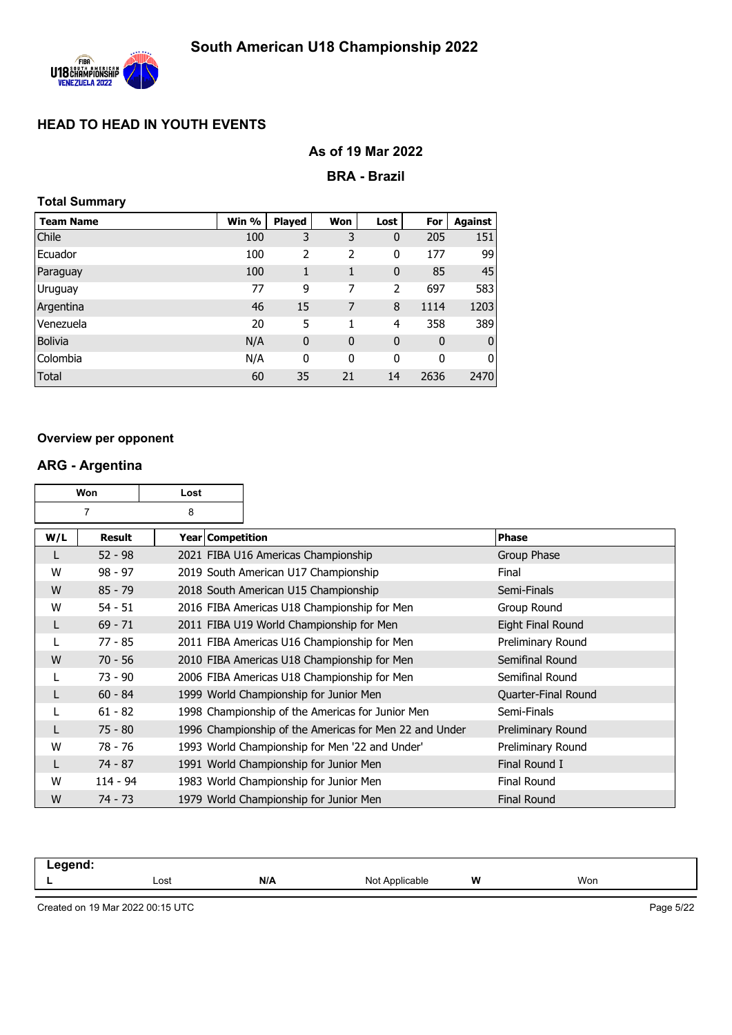

### **As of 19 Mar 2022**

#### **BRA - Brazil**

#### **Total Summary**

| <b>Team Name</b> | Win % | <b>Played</b> | Won         | Lost        | For         | Against     |
|------------------|-------|---------------|-------------|-------------|-------------|-------------|
| Chile            | 100   | 3             | 3           | 0           | 205         | 151         |
| Ecuador          | 100   | 2             | 2           | 0           | 177         | 99          |
| Paraguay         | 100   | 1             | 1           | $\mathbf 0$ | 85          | 45          |
| Uruguay          | 77    | 9             | 7           | 2           | 697         | 583         |
| Argentina        | 46    | 15            | 7           | 8           | 1114        | 1203        |
| Venezuela        | 20    | 5             |             | 4           | 358         | 389         |
| <b>Bolivia</b>   | N/A   | $\mathbf 0$   | $\mathbf 0$ | $\mathbf 0$ | $\mathbf 0$ | $\mathbf 0$ |
| Colombia         | N/A   | 0             | 0           | 0           | 0           | 0           |
| <b>Total</b>     | 60    | 35            | 21          | 14          | 2636        | 2470        |

#### **Overview per opponent**

#### **ARG - Argentina**

|     | Won           | Lost               |                                                        |                     |
|-----|---------------|--------------------|--------------------------------------------------------|---------------------|
|     | 7             | 8                  |                                                        |                     |
| W/L | <b>Result</b> | Year   Competition |                                                        | <b>Phase</b>        |
| L   | $52 - 98$     |                    | 2021 FIBA U16 Americas Championship                    | Group Phase         |
| W   | $98 - 97$     |                    | 2019 South American U17 Championship                   | Final               |
| W   | $85 - 79$     |                    | 2018 South American U15 Championship                   | Semi-Finals         |
| W   | $54 - 51$     |                    | 2016 FIBA Americas U18 Championship for Men            | Group Round         |
| L   | $69 - 71$     |                    | 2011 FIBA U19 World Championship for Men               | Eight Final Round   |
|     | $77 - 85$     |                    | 2011 FIBA Americas U16 Championship for Men            | Preliminary Round   |
| W   | $70 - 56$     |                    | 2010 FIBA Americas U18 Championship for Men            | Semifinal Round     |
|     | $73 - 90$     |                    | 2006 FIBA Americas U18 Championship for Men            | Semifinal Round     |
| L   | $60 - 84$     |                    | 1999 World Championship for Junior Men                 | Quarter-Final Round |
|     | $61 - 82$     |                    | 1998 Championship of the Americas for Junior Men       | Semi-Finals         |
|     | $75 - 80$     |                    | 1996 Championship of the Americas for Men 22 and Under | Preliminary Round   |
| W   | $78 - 76$     |                    | 1993 World Championship for Men '22 and Under'         | Preliminary Round   |
|     | $74 - 87$     |                    | 1991 World Championship for Junior Men                 | Final Round I       |
| W   | 114 - 94      |                    | 1983 World Championship for Junior Men                 | Final Round         |
| W   | $74 - 73$     |                    | 1979 World Championship for Junior Men                 | <b>Final Round</b>  |

| .<br>-- 9<br>----- |      |     |                   |   |     |
|--------------------|------|-----|-------------------|---|-----|
|                    | Lost | N/A | Not<br>Applicable | W | Won |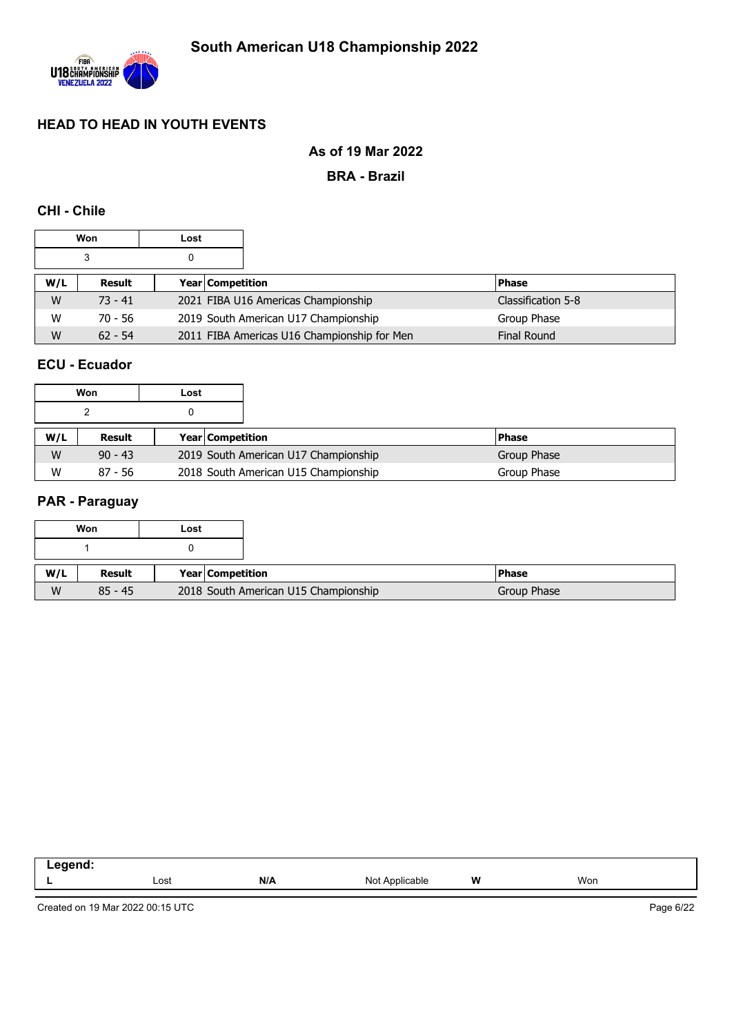

### **As of 19 Mar 2022**

**BRA - Brazil**

### **CHI - Chile**

|     | Won       | Lost |                  |                                             |                    |
|-----|-----------|------|------------------|---------------------------------------------|--------------------|
|     | 3         |      |                  |                                             |                    |
| W/L | Result    |      | Year Competition |                                             | <b>Phase</b>       |
| W   | $73 - 41$ |      |                  | 2021 FIBA U16 Americas Championship         | Classification 5-8 |
| W   | $70 - 56$ |      |                  | 2019 South American U17 Championship        | Group Phase        |
| W   | $62 - 54$ |      |                  | 2011 FIBA Americas U16 Championship for Men | <b>Final Round</b> |

### **ECU - Ecuador**

|     | Won       | Lost |                         |                                      |              |
|-----|-----------|------|-------------------------|--------------------------------------|--------------|
|     |           |      |                         |                                      |              |
| W/L | Result    |      | <b>Year Competition</b> |                                      | <b>Phase</b> |
| W   | $90 - 43$ |      |                         | 2019 South American U17 Championship | Group Phase  |
| W   | $87 - 56$ |      |                         | 2018 South American U15 Championship | Group Phase  |

#### **PAR - Paraguay**

|     | Won       | Lost |                  |                                      |               |
|-----|-----------|------|------------------|--------------------------------------|---------------|
|     |           |      |                  |                                      |               |
| W/L | Result    |      | Year Competition |                                      | <b>IPhase</b> |
| W   | $85 - 45$ |      |                  | 2018 South American U15 Championship | Group Phase   |

| $-200$<br>_____ |      |     |                   |   |     |
|-----------------|------|-----|-------------------|---|-----|
|                 | Lost | N/A | Applicable<br>Not | W | Won |
|                 |      |     |                   |   |     |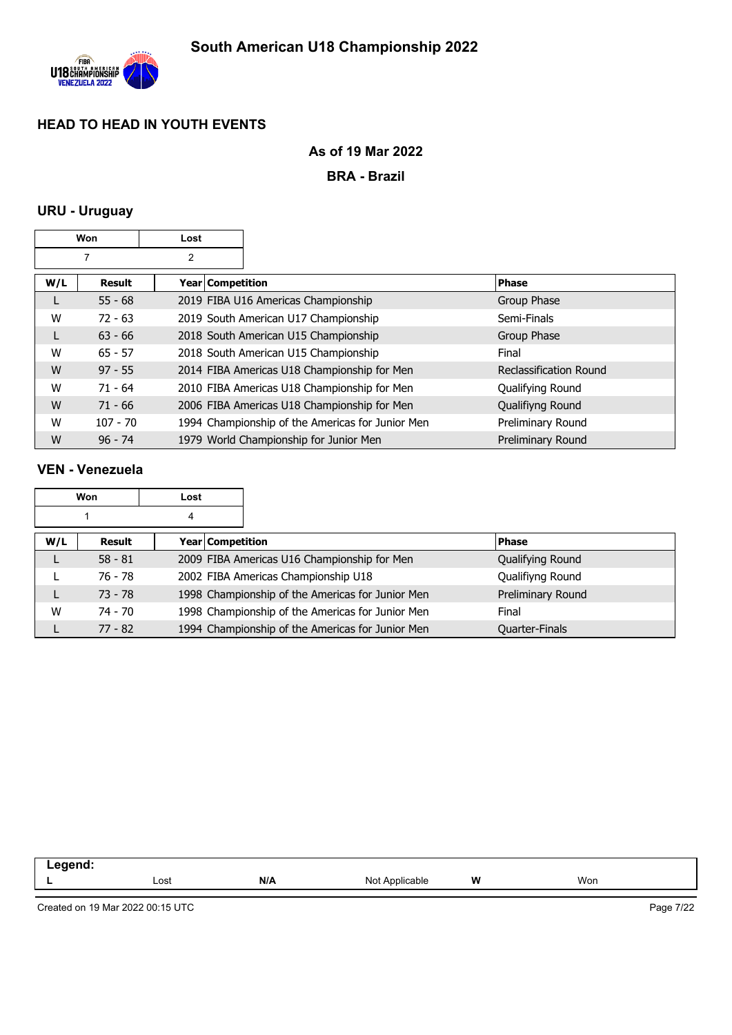

### **As of 19 Mar 2022**

**BRA - Brazil**

## **URU - Uruguay**

|     | Won        | Lost             |                                                  |                        |
|-----|------------|------------------|--------------------------------------------------|------------------------|
|     | 7          | 2                |                                                  |                        |
| W/L | Result     | Year Competition |                                                  | <b>Phase</b>           |
| L   | $55 - 68$  |                  | 2019 FIBA U16 Americas Championship              | Group Phase            |
| W   | $72 - 63$  |                  | 2019 South American U17 Championship             | Semi-Finals            |
| L   | $63 - 66$  |                  | 2018 South American U15 Championship             | Group Phase            |
| W   | $65 - 57$  |                  | 2018 South American U15 Championship             | Final                  |
| W   | $97 - 55$  |                  | 2014 FIBA Americas U18 Championship for Men      | Reclassification Round |
| W   | $71 - 64$  |                  | 2010 FIBA Americas U18 Championship for Men      | Qualifying Round       |
| W   | $71 - 66$  |                  | 2006 FIBA Americas U18 Championship for Men      | Qualifiyng Round       |
| W   | $107 - 70$ |                  | 1994 Championship of the Americas for Junior Men | Preliminary Round      |
| W   | $96 - 74$  |                  | 1979 World Championship for Junior Men           | Preliminary Round      |

### **VEN - Venezuela**

|     | Won       | Lost |                                                  |                       |
|-----|-----------|------|--------------------------------------------------|-----------------------|
|     |           | 4    |                                                  |                       |
| W/L | Result    |      | <b>Year Competition</b>                          | <b>Phase</b>          |
|     | $58 - 81$ |      | 2009 FIBA Americas U16 Championship for Men      | Qualifying Round      |
|     | 76 - 78   |      | 2002 FIBA Americas Championship U18              | Qualifiyng Round      |
|     | $73 - 78$ |      | 1998 Championship of the Americas for Junior Men | Preliminary Round     |
| W   | 74 - 70   |      | 1998 Championship of the Americas for Junior Men | Final                 |
|     | $77 - 82$ |      | 1994 Championship of the Americas for Junior Men | <b>Quarter-Finals</b> |

| -- 3 |      |     |                               |   |     |  |
|------|------|-----|-------------------------------|---|-----|--|
|      | Lost | N/A | NM†<br>Applicable<br>$\cdots$ | W | Won |  |
|      |      |     |                               |   |     |  |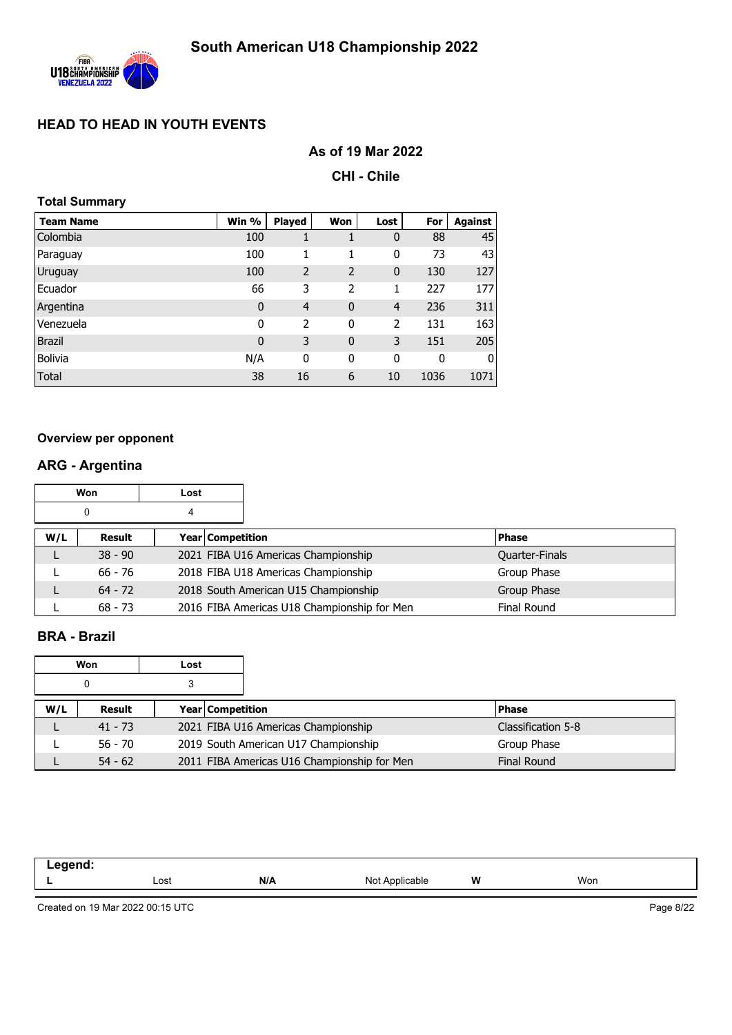

### **As of 19 Mar 2022**

**CHI - Chile**

|  | <b>Total Summary</b> |  |
|--|----------------------|--|
|  |                      |  |

| <b>Team Name</b> | Win %       | <b>Played</b>  | Won            | Lost        | For  | Against |
|------------------|-------------|----------------|----------------|-------------|------|---------|
| Colombia         | 100         | T              |                | 0           | 88   | 45      |
| Paraguay         | 100         | 1              | 1              | 0           | 73   | 43      |
| <b>Uruguay</b>   | 100         | $\overline{2}$ | $\overline{2}$ | $\mathbf 0$ | 130  | 127     |
| Ecuador          | 66          | 3              | 2              | 1           | 227  | 177     |
| Argentina        | $\mathbf 0$ | $\overline{4}$ | $\mathbf{0}$   | 4           | 236  | 311     |
| Venezuela        | 0           | 2              | 0              | 2           | 131  | 163     |
| <b>Brazil</b>    | $\mathbf 0$ | 3              | $\mathbf 0$    | 3           | 151  | 205     |
| <b>Bolivia</b>   | N/A         | 0              | 0              | 0           | 0    | 0       |
| Total            | 38          | 16             | 6              | 10          | 1036 | 1071    |

#### **Overview per opponent**

# **ARG - Argentina**

|     | Won       | Lost             |                                             |                |
|-----|-----------|------------------|---------------------------------------------|----------------|
|     | 0         | 4                |                                             |                |
| W/L | Result    | Year Competition |                                             | <b>Phase</b>   |
|     | $38 - 90$ |                  | 2021 FIBA U16 Americas Championship         | Quarter-Finals |
|     | $66 - 76$ |                  | 2018 FIBA U18 Americas Championship         | Group Phase    |
|     | $64 - 72$ |                  | 2018 South American U15 Championship        | Group Phase    |
|     | $68 - 73$ |                  | 2016 FIBA Americas U18 Championship for Men | Final Round    |

### **BRA - Brazil**

|     | Won       | Lost |                         |                                             |                    |
|-----|-----------|------|-------------------------|---------------------------------------------|--------------------|
|     | 0         |      |                         |                                             |                    |
| W/L | Result    |      | <b>Year Competition</b> |                                             | <b>IPhase</b>      |
|     | $41 - 73$ |      |                         | 2021 FIBA U16 Americas Championship         | Classification 5-8 |
|     | $56 - 70$ |      |                         | 2019 South American U17 Championship        | Group Phase        |
|     | $54 - 62$ |      |                         | 2011 FIBA Americas U16 Championship for Men | <b>Final Round</b> |

| . |      |     |                           |   |     |
|---|------|-----|---------------------------|---|-----|
|   | Lost | N/A | Nl∩t<br>minc<br>ഫല<br>ישי | W | Won |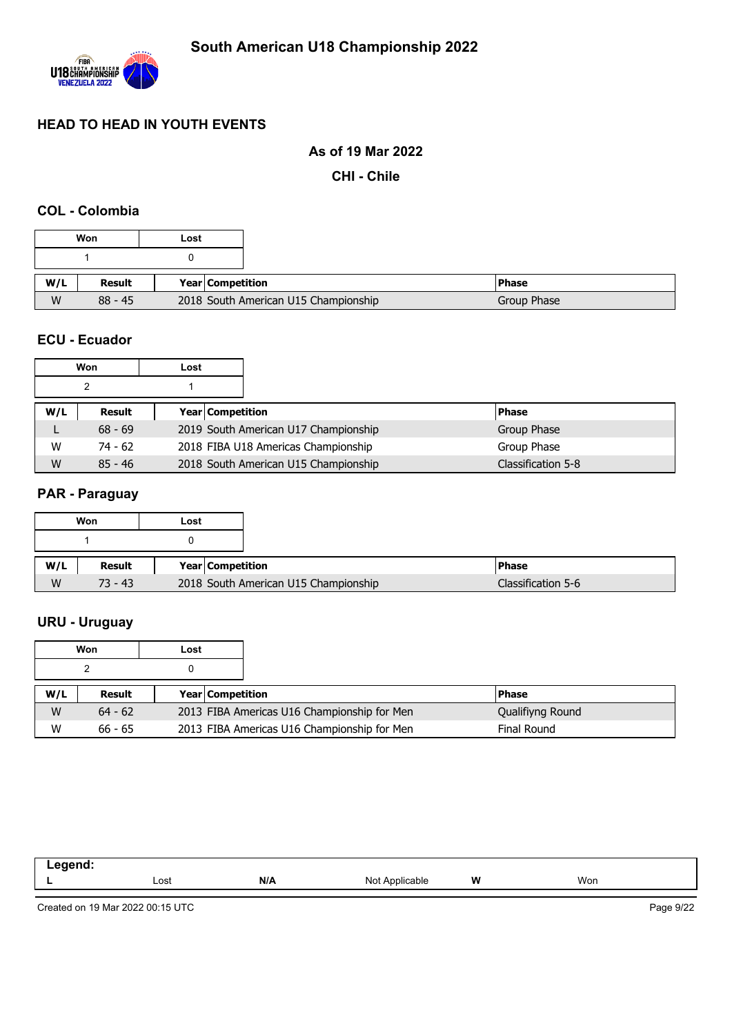

### **As of 19 Mar 2022**

**CHI - Chile**

## **COL - Colombia**

|          | Won           | Lost |                                      |
|----------|---------------|------|--------------------------------------|
|          |               |      |                                      |
|          | <b>Result</b> |      | <b>Year Competition</b>              |
| W/L<br>W | $88 - 45$     |      | 2018 South American U15 Championship |

#### **ECU - Ecuador**

|     | Won       | Lost |                  |                                      |                    |
|-----|-----------|------|------------------|--------------------------------------|--------------------|
|     | 2         |      |                  |                                      |                    |
| W/L | Result    |      | Year Competition |                                      | <b>Phase</b>       |
|     | $68 - 69$ |      |                  | 2019 South American U17 Championship | Group Phase        |
| W   | $74 - 62$ |      |                  | 2018 FIBA U18 Americas Championship  | Group Phase        |
| W   | $85 - 46$ |      |                  | 2018 South American U15 Championship | Classification 5-8 |

#### **PAR - Paraguay**

|     | Won       | Lost             |                                      |  |
|-----|-----------|------------------|--------------------------------------|--|
|     |           |                  |                                      |  |
| W/L | Result    | Year Competition |                                      |  |
| W   | $73 - 43$ |                  | 2018 South American U15 Championship |  |

## **URU - Uruguay**

|     | Won       | Lost |                         |                                             |                    |
|-----|-----------|------|-------------------------|---------------------------------------------|--------------------|
|     |           |      |                         |                                             |                    |
| W/L | Result    |      | <b>Year Competition</b> |                                             | <b>Phase</b>       |
| W   | $64 - 62$ |      |                         | 2013 FIBA Americas U16 Championship for Men | Qualifiyng Round   |
| W   | $66 - 65$ |      |                         | 2013 FIBA Americas U16 Championship for Men | <b>Final Round</b> |

| Lost | N/A | Not<br>$\sqrt{n}$<br>ગાcable | W<br> | Won |
|------|-----|------------------------------|-------|-----|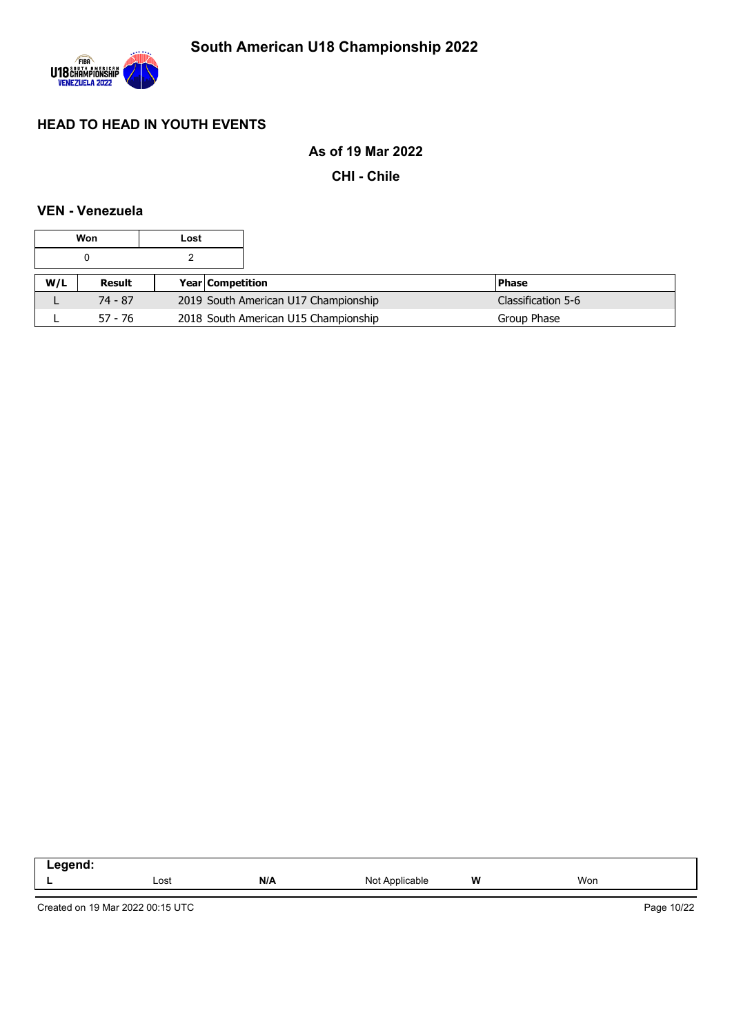

### **As of 19 Mar 2022**

**CHI - Chile**

### **VEN - Venezuela**

|     | Won                        | Lost |                                      |                    |
|-----|----------------------------|------|--------------------------------------|--------------------|
|     |                            |      |                                      |                    |
| W/L | Result<br>Year Competition |      |                                      | <b>Phase</b>       |
|     | $74 - 87$                  |      | 2019 South American U17 Championship | Classification 5-6 |
|     | $57 - 76$                  |      | 2018 South American U15 Championship | Group Phase        |

| . |      |     |                                                           |   |     |  |
|---|------|-----|-----------------------------------------------------------|---|-----|--|
|   | Lost | N/A | Not<br>licable<br>Anni<br>$\cdot$ $\cdot$ $\cdot$ $\cdot$ | W | Won |  |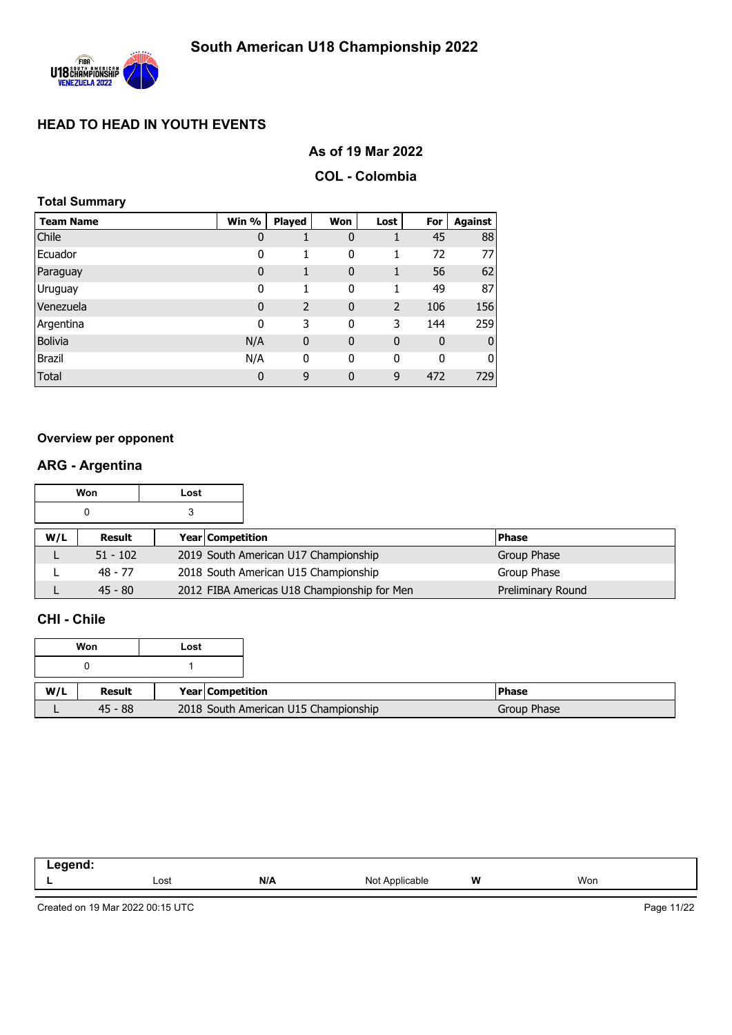

### **As of 19 Mar 2022**

#### **COL - Colombia**

### **Total Summary**

| <b>Team Name</b> | Win %       | Played      | Won          | Lost           | For          | Against        |
|------------------|-------------|-------------|--------------|----------------|--------------|----------------|
| Chile            | $\mathbf 0$ |             | 0            | 1              | 45           | 88             |
| Ecuador          | 0           | 1           | 0            | 1              | 72           | 77I            |
| Paraguay         | $\bf{0}$    | 1           | $\mathbf 0$  | 1              | 56           | 62             |
| Uruguay          | 0           | 1           | 0            | 1              | 49           | 87             |
| Venezuela        | $\mathbf 0$ | 2           | $\mathbf 0$  | $\overline{2}$ | 106          | 156            |
| Argentina        | 0           | 3           | 0            | 3              | 144          | 259            |
| <b>Bolivia</b>   | N/A         | $\mathbf 0$ | $\mathbf 0$  | $\mathbf 0$    | $\mathbf 0$  | $\overline{0}$ |
| <b>Brazil</b>    | N/A         | 0           | 0            | 0              | $\mathbf{0}$ | $\overline{0}$ |
| <b>Total</b>     | $\mathbf 0$ | 9           | $\mathbf{0}$ | 9              | 472          | 729            |

#### **Overview per opponent**

## **ARG - Argentina**

|     | Won        | Lost |                                      |                                             |              |                   |
|-----|------------|------|--------------------------------------|---------------------------------------------|--------------|-------------------|
|     | 0          |      |                                      |                                             |              |                   |
| W/L | Result     |      | Year Competition                     |                                             | <b>Phase</b> |                   |
|     | $51 - 102$ |      |                                      | 2019 South American U17 Championship        |              | Group Phase       |
|     | 48 - 77    |      | 2018 South American U15 Championship |                                             | Group Phase  |                   |
|     | $45 - 80$  |      |                                      | 2012 FIBA Americas U18 Championship for Men |              | Preliminary Round |

### **CHI - Chile**

|     | Won       | Lost |                  |                                      |  |
|-----|-----------|------|------------------|--------------------------------------|--|
|     |           |      |                  |                                      |  |
| W/L | Result    |      | Year Competition |                                      |  |
|     | $45 - 88$ |      |                  | 2018 South American U15 Championship |  |

| ------<br>______<br>--- |      |     |                                                   |   |     |  |
|-------------------------|------|-----|---------------------------------------------------|---|-----|--|
| -                       | Lost | N/A | N <sub>10</sub><br>$n$ nnlice $n$<br>. .<br>1101F | W | Won |  |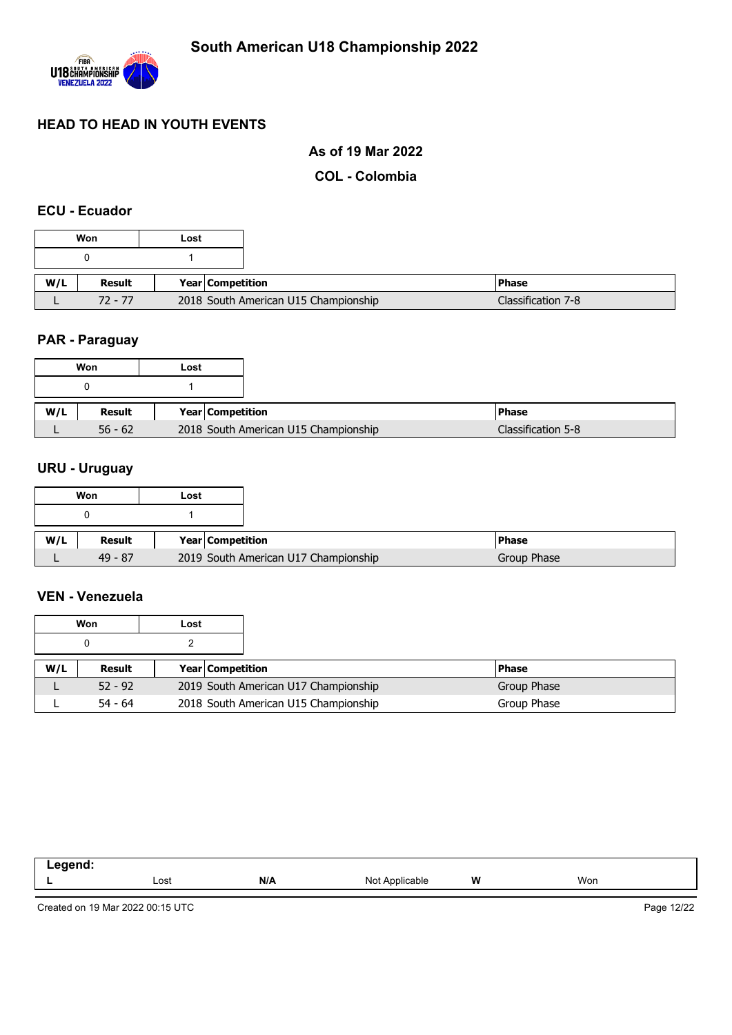

### **As of 19 Mar 2022**

### **COL - Colombia**

### **ECU - Ecuador**

|     | Won       | Lost                                 |
|-----|-----------|--------------------------------------|
|     |           |                                      |
| W/L | Result    | Year   Competition                   |
|     | $72 - 77$ | 2018 South American U15 Championship |

## **PAR - Paraguay**

|     | Won       | Lost |                    |                                      |                    |
|-----|-----------|------|--------------------|--------------------------------------|--------------------|
|     |           |      |                    |                                      |                    |
| W/L | Result    |      | Year   Competition |                                      | <b>Phase</b>       |
|     | $56 - 62$ |      |                    | 2018 South American U15 Championship | Classification 5-8 |

## **URU - Uruguay**

|     | Won       | Lost |                                      |  |
|-----|-----------|------|--------------------------------------|--|
|     |           |      |                                      |  |
|     |           |      |                                      |  |
| W/L | Result    |      | <b>Year Competition</b>              |  |
|     | $49 - 87$ |      | 2019 South American U17 Championship |  |

#### **VEN - Venezuela**

|     | Won       | Lost |                         |                                      |              |
|-----|-----------|------|-------------------------|--------------------------------------|--------------|
|     |           |      |                         |                                      |              |
| W/L | Result    |      | <b>Year Competition</b> |                                      | <b>Phase</b> |
|     | $52 - 92$ |      |                         | 2019 South American U17 Championship | Group Phase  |
|     | $54 - 64$ |      |                         | 2018 South American U15 Championship | Group Phase  |

| ----- |      |     |                          |   |     |
|-------|------|-----|--------------------------|---|-----|
| -     | Lost | N/A | N <sub>Ic</sub><br>11011 | W | Won |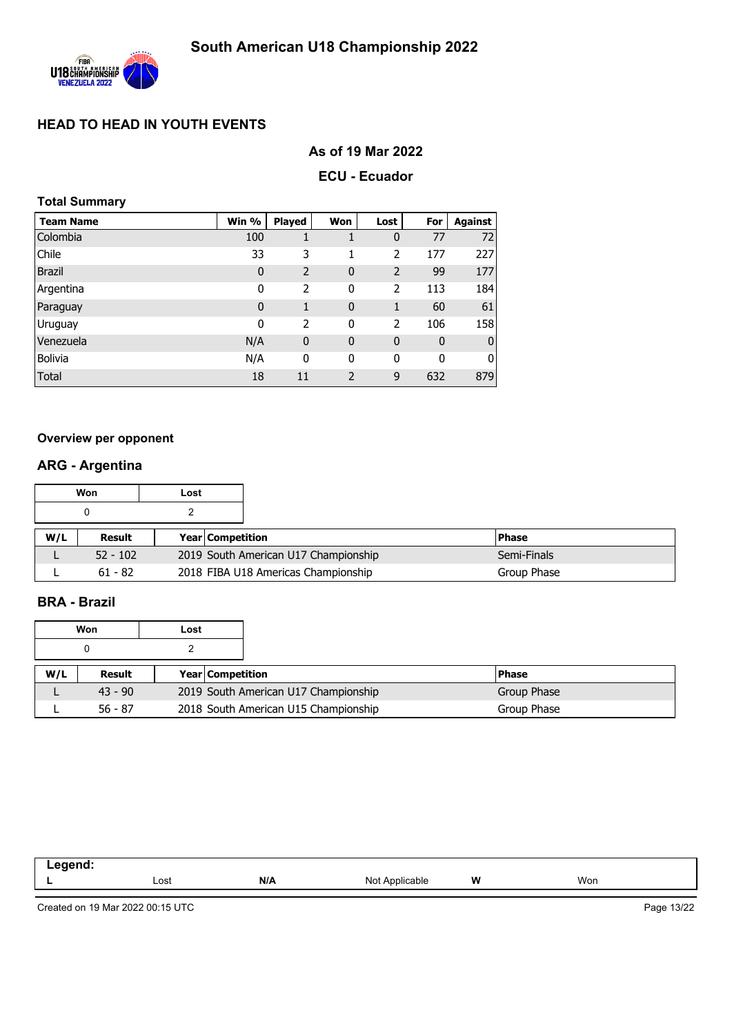

### **As of 19 Mar 2022**

### **ECU - Ecuador**

### **Total Summary**

| <b>Team Name</b> | Win %       | <b>Played</b>  | Won            | Lost           | For         | <b>Against</b>   |
|------------------|-------------|----------------|----------------|----------------|-------------|------------------|
| Colombia         | 100         |                |                | 0              | 77          | 72               |
| Chile            | 33          | 3              |                | 2              | 177         | 227              |
| <b>Brazil</b>    | 0           | 2              | $\mathbf 0$    | $\overline{2}$ | 99          | 177              |
| Argentina        | 0           | $\overline{2}$ | 0              | $\overline{2}$ | 113         | 184              |
| Paraguay         | $\mathbf 0$ | 1              | $\mathbf 0$    | 1              | 60          | 61               |
| Uruguay          | $\mathbf 0$ | 2              | 0              | 2              | 106         | 158              |
| Venezuela        | N/A         | $\mathbf 0$    | $\mathbf 0$    | $\mathbf 0$    | $\mathbf 0$ | $\boldsymbol{0}$ |
| <b>Bolivia</b>   | N/A         | 0              | 0              | 0              | 0           | $\overline{0}$   |
| <b>Total</b>     | 18          | 11             | $\overline{2}$ | 9              | 632         | 879              |

#### **Overview per opponent**

### **ARG - Argentina**

|     | Won        | Lost |                         |                                      |              |
|-----|------------|------|-------------------------|--------------------------------------|--------------|
|     |            |      |                         |                                      |              |
| W/L | Result     |      | <b>Year Competition</b> |                                      | <b>Phase</b> |
|     | $52 - 102$ |      |                         | 2019 South American U17 Championship | Semi-Finals  |
|     | $61 - 82$  |      |                         | 2018 FIBA U18 Americas Championship  | Group Phase  |

## **BRA - Brazil**

|     | Won       | Lost |                         |                                      |             |
|-----|-----------|------|-------------------------|--------------------------------------|-------------|
|     |           |      |                         |                                      |             |
| W/L | Result    |      | <b>Year Competition</b> |                                      | l Phase     |
|     | $43 - 90$ |      |                         | 2019 South American U17 Championship | Group Phase |
|     | $56 - 87$ |      |                         | 2018 South American U15 Championship | Group Phase |

| <br>Lost | N/A | Nl∩t<br>$N$ nnliga<br>⋯ | W | Won |
|----------|-----|-------------------------|---|-----|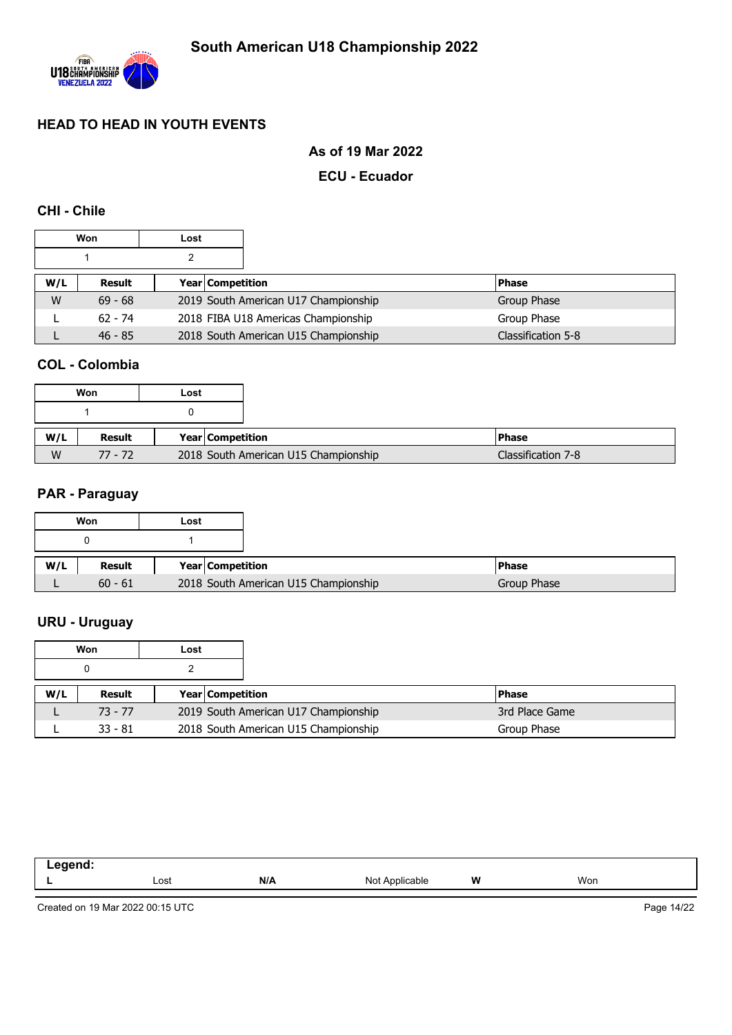

### **As of 19 Mar 2022**

### **ECU - Ecuador**

### **CHI - Chile**

|     | Won       | Lost |                  |                                      |                    |
|-----|-----------|------|------------------|--------------------------------------|--------------------|
|     |           |      |                  |                                      |                    |
| W/L | Result    |      | Year Competition |                                      | <b>Phase</b>       |
| W   | $69 - 68$ |      |                  | 2019 South American U17 Championship | Group Phase        |
|     | $62 - 74$ |      |                  | 2018 FIBA U18 Americas Championship  | Group Phase        |
|     | $46 - 85$ |      |                  | 2018 South American U15 Championship | Classification 5-8 |

### **COL - Colombia**

|     | Won       | Lost |                                      |
|-----|-----------|------|--------------------------------------|
|     |           |      |                                      |
| W/L | Result    |      | Year Competition                     |
| W   | $77 - 72$ |      | 2018 South American U15 Championship |

#### **PAR - Paraguay**

|     | Won           | Lost |                                      |              |
|-----|---------------|------|--------------------------------------|--------------|
|     |               |      |                                      |              |
| W/L | <b>Result</b> |      | Year Competition                     | <b>Phase</b> |
|     | $60 - 61$     |      | 2018 South American U15 Championship | Group Phase  |

## **URU - Uruguay**

|     | Won       | Lost |                         |                                      |                |
|-----|-----------|------|-------------------------|--------------------------------------|----------------|
|     |           |      |                         |                                      |                |
| W/L | Result    |      | <b>Year Competition</b> |                                      | <b>Phase</b>   |
|     | $73 - 77$ |      |                         | 2019 South American U17 Championship | 3rd Place Game |
|     | $33 - 81$ |      |                         | 2018 South American U15 Championship | Group Phase    |

| Lost | N/A | Not<br>$\sqrt{n}$<br>ગાcable | W<br> | Won |
|------|-----|------------------------------|-------|-----|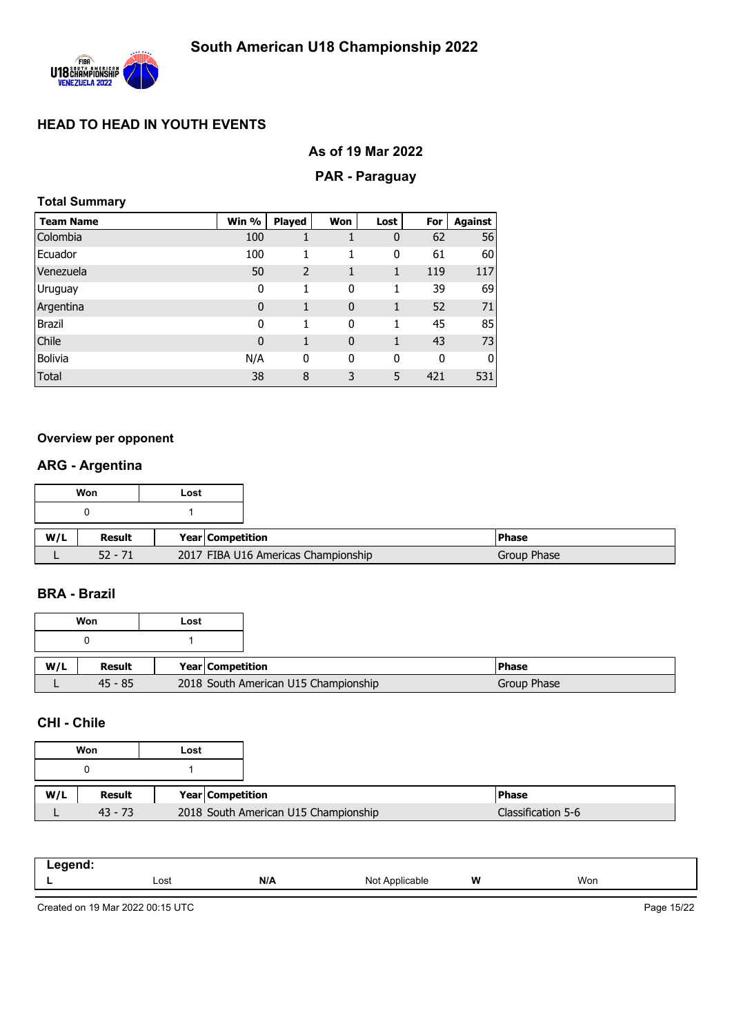

### **As of 19 Mar 2022**

#### **PAR - Paraguay**

|  | <b>Total Summary</b> |
|--|----------------------|
|--|----------------------|

| <b>Team Name</b> | Win %       | <b>Played</b> | Won         | Lost | For | Against |
|------------------|-------------|---------------|-------------|------|-----|---------|
| Colombia         | 100         |               |             | 0    | 62  | 56      |
| Ecuador          | 100         |               | 1           | 0    | 61  | 60      |
| Venezuela        | 50          | 2             | 1           | 1    | 119 | 117     |
| Uruguay          | 0           | 1             | 0           | 1    | 39  | 69      |
| Argentina        | $\mathbf 0$ | 1             | $\mathbf 0$ | 1    | 52  | 71      |
| <b>Brazil</b>    | 0           | 1             | 0           | 1    | 45  | 85      |
| Chile            | $\mathbf 0$ | 1             | $\mathbf 0$ | 1    | 43  | 73      |
| <b>Bolivia</b>   | N/A         | 0             | 0           | 0    | 0   | 0       |
| Total            | 38          | 8             | 3           | 5    | 421 | 531     |

#### **Overview per opponent**

## **ARG - Argentina**

|     | Won       | Lost |                  |                                     |
|-----|-----------|------|------------------|-------------------------------------|
|     |           |      |                  |                                     |
| W/L | Result    |      | Year Competition |                                     |
|     | $52 - 71$ |      |                  | 2017 FIBA U16 Americas Championship |

### **BRA - Brazil**

|     | Won       | Lost |                                      |               |
|-----|-----------|------|--------------------------------------|---------------|
|     |           |      |                                      |               |
| W/L | Result    |      | Year Competition                     | <b>IPhase</b> |
|     | $45 - 85$ |      | 2018 South American U15 Championship | Group Phase   |

### **CHI - Chile**

|     | Won       | Lost                                 |
|-----|-----------|--------------------------------------|
|     |           |                                      |
| W/L | Result    | Year Competition                     |
|     | $43 - 73$ | 2018 South American U15 Championship |

| .<br>- 3 |      |     |                                           |   |     |
|----------|------|-----|-------------------------------------------|---|-----|
|          | Lost | N/A | N∩t<br>Applicable<br>$\sim$<br>. <u>.</u> | W | Won |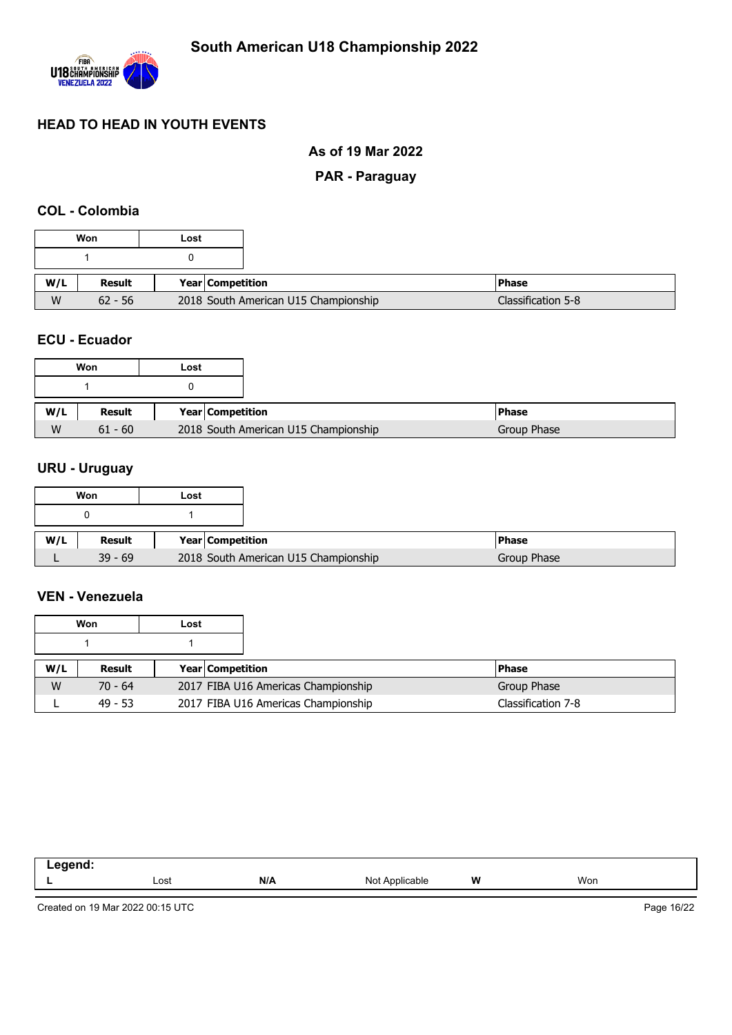

### **As of 19 Mar 2022**

### **PAR - Paraguay**

### **COL - Colombia**

#### **ECU - Ecuador**

|   | Won       | Lost |                                      |
|---|-----------|------|--------------------------------------|
|   |           |      |                                      |
|   | Result    |      | Year   Competition                   |
| W | $61 - 60$ |      | 2018 South American U15 Championship |

## **URU - Uruguay**

|     | Won       | Lost |                                      |               |
|-----|-----------|------|--------------------------------------|---------------|
|     |           |      |                                      |               |
| W/L | Result    |      | Year Competition                     | <b>IPhase</b> |
|     | $39 - 69$ |      | 2018 South American U15 Championship | Group Phase   |

#### **VEN - Venezuela**

|     | Won       | Lost |                         |                                     |                    |
|-----|-----------|------|-------------------------|-------------------------------------|--------------------|
|     |           |      |                         |                                     |                    |
| W/L | Result    |      | <b>Year Competition</b> |                                     | <b>Phase</b>       |
| W   | $70 - 64$ |      |                         | 2017 FIBA U16 Americas Championship | Group Phase        |
|     | $49 - 53$ |      |                         | 2017 FIBA U16 Americas Championship | Classification 7-8 |

| eqend:<br>$-\cdot$ . |      |     |                |   |     |
|----------------------|------|-----|----------------|---|-----|
| . .                  | Lost | N/A | Not Applicable | W | Won |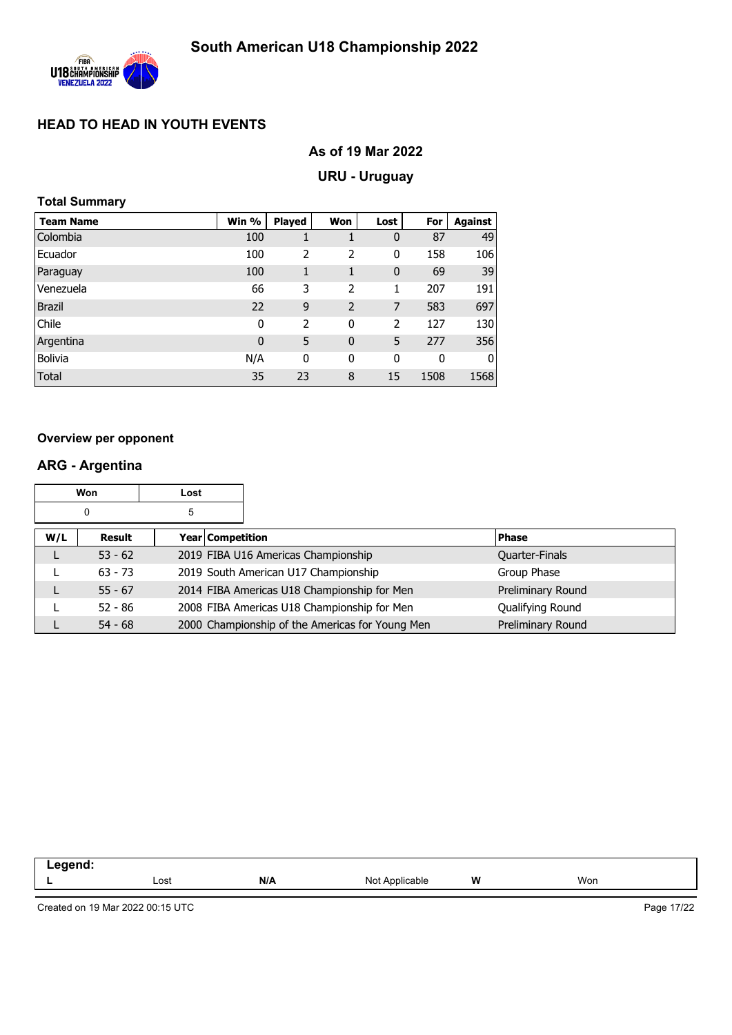

## **As of 19 Mar 2022**

## **URU - Uruguay**

### **Total Summary**

| <b>Team Name</b> | Win %       | <b>Played</b> | Won            | Lost        | For  | <b>Against</b> |
|------------------|-------------|---------------|----------------|-------------|------|----------------|
| Colombia         | 100         |               |                | $\bf{0}$    | 87   | 49             |
| Ecuador          | 100         | 2             | 2              | 0           | 158  | 106            |
| Paraguay         | 100         | 1             | 1              | $\mathbf 0$ | 69   | 39             |
| Venezuela        | 66          | 3             | 2              | 1           | 207  | 191            |
| <b>Brazil</b>    | 22          | 9             | $\overline{2}$ | 7           | 583  | 697            |
| Chile            | $\mathbf 0$ | 2             | $\mathbf 0$    | 2           | 127  | 130            |
| Argentina        | 0           | 5             | $\mathbf 0$    | 5           | 277  | 356            |
| <b>Bolivia</b>   | N/A         | 0             | 0              | 0           | 0    | 0              |
| <b>Total</b>     | 35          | 23            | 8              | 15          | 1508 | 1568           |

#### **Overview per opponent**

## **ARG - Argentina**

|     | Won       | Lost                    |                                                 |                   |
|-----|-----------|-------------------------|-------------------------------------------------|-------------------|
|     | 0         | 5                       |                                                 |                   |
| W/L | Result    | <b>Year Competition</b> |                                                 | <b>Phase</b>      |
|     | $53 - 62$ |                         | 2019 FIBA U16 Americas Championship             | Quarter-Finals    |
|     | $63 - 73$ |                         | 2019 South American U17 Championship            | Group Phase       |
|     | $55 - 67$ |                         | 2014 FIBA Americas U18 Championship for Men     | Preliminary Round |
|     | $52 - 86$ |                         | 2008 FIBA Americas U18 Championship for Men     | Qualifying Round  |
|     | $54 - 68$ |                         | 2000 Championship of the Americas for Young Men | Preliminary Round |

| .<br>-- 3<br>______ |      |     |                         |   |     |
|---------------------|------|-----|-------------------------|---|-----|
|                     | Lost | N/A | `oplicable_<br>״∩ו<br>. | W | Won |
|                     |      |     |                         |   |     |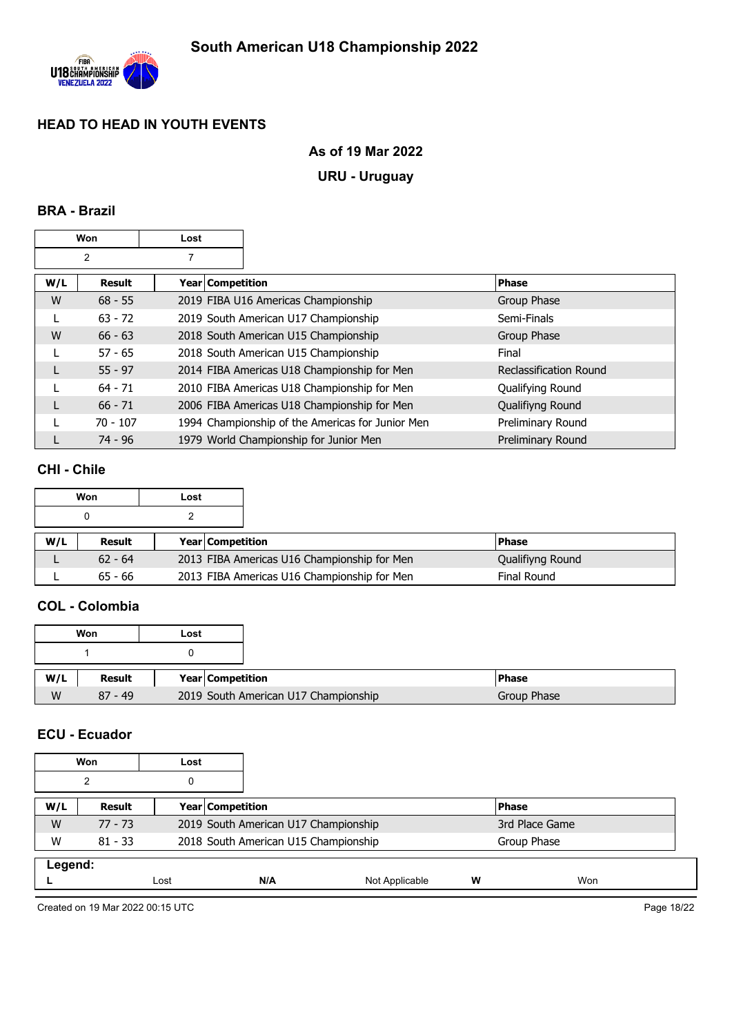

## **As of 19 Mar 2022**

## **URU - Uruguay**

### **BRA - Brazil**

|     | Won            | Lost               |                                                  |                        |
|-----|----------------|--------------------|--------------------------------------------------|------------------------|
|     | $\overline{2}$ |                    |                                                  |                        |
| W/L | <b>Result</b>  | Year   Competition |                                                  | <b>Phase</b>           |
| W   | $68 - 55$      |                    | 2019 FIBA U16 Americas Championship              | Group Phase            |
|     | $63 - 72$      |                    | 2019 South American U17 Championship             | Semi-Finals            |
| W   | $66 - 63$      |                    | 2018 South American U15 Championship             | Group Phase            |
|     | $57 - 65$      |                    | 2018 South American U15 Championship             | Final                  |
|     | $55 - 97$      |                    | 2014 FIBA Americas U18 Championship for Men      | Reclassification Round |
|     | $64 - 71$      |                    | 2010 FIBA Americas U18 Championship for Men      | Qualifying Round       |
|     | $66 - 71$      |                    | 2006 FIBA Americas U18 Championship for Men      | Qualifiyng Round       |
|     | $70 - 107$     |                    | 1994 Championship of the Americas for Junior Men | Preliminary Round      |
|     | 74 - 96        |                    | 1979 World Championship for Junior Men           | Preliminary Round      |

### **CHI - Chile**

|     | Won       | Lost |                         |                                             |                  |
|-----|-----------|------|-------------------------|---------------------------------------------|------------------|
|     |           |      |                         |                                             |                  |
| W/L | Result    |      | <b>Year Competition</b> |                                             | l Phase          |
|     | $62 - 64$ |      |                         | 2013 FIBA Americas U16 Championship for Men | Qualifiyng Round |
|     | $65 - 66$ |      |                         | 2013 FIBA Americas U16 Championship for Men | Final Round      |

## **COL - Colombia**

|     | Won       | Lost |                                      |             |
|-----|-----------|------|--------------------------------------|-------------|
|     |           |      |                                      |             |
| W/L | Result    |      | Year Competition                     | l Phase     |
| W   | $87 - 49$ |      | 2019 South American U17 Championship | Group Phase |

## **ECU - Ecuador**

|         | Won       | Lost |                                      |                |   |                |  |  |
|---------|-----------|------|--------------------------------------|----------------|---|----------------|--|--|
|         | ◠         | 0    |                                      |                |   |                |  |  |
| W/L     | Result    |      | Year Competition                     |                |   | <b>IPhase</b>  |  |  |
| W       | 77 - 73   |      | 2019 South American U17 Championship |                |   | 3rd Place Game |  |  |
| W       | $81 - 33$ |      | 2018 South American U15 Championship |                |   | Group Phase    |  |  |
| Legend: |           |      |                                      |                |   |                |  |  |
|         |           | Lost | N/A                                  | Not Applicable | w | Won            |  |  |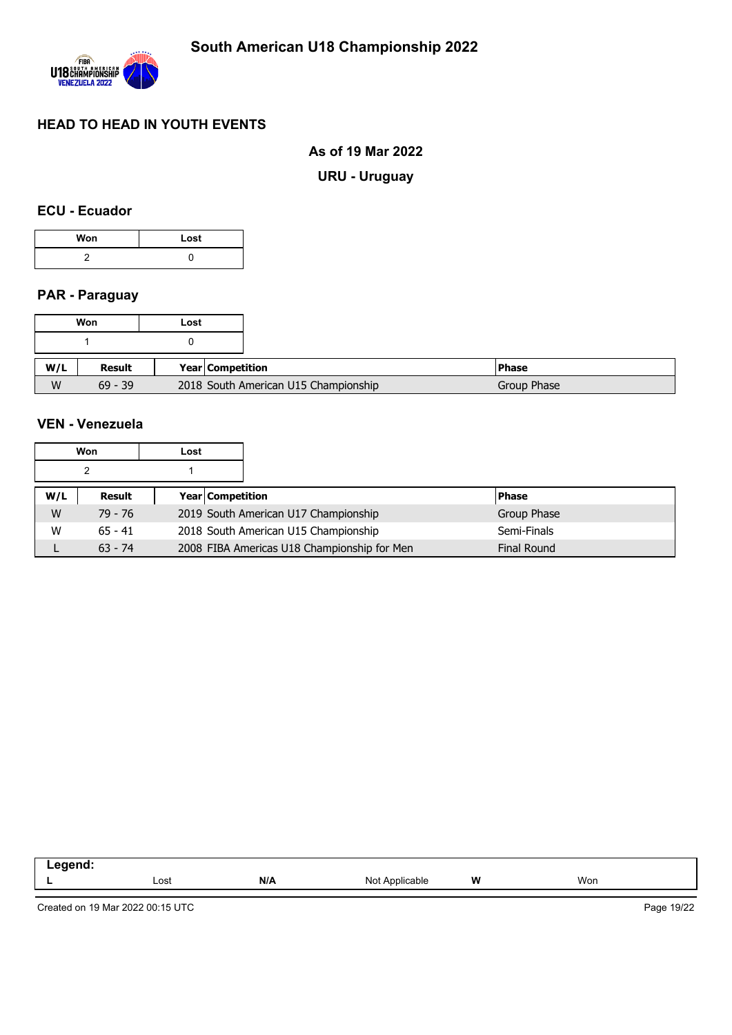

### **As of 19 Mar 2022**

**URU - Uruguay**

### **ECU - Ecuador**

| Won | Lost |  |  |
|-----|------|--|--|
|     |      |  |  |

### **PAR - Paraguay**

|     | Won       | Lost |                  |                                      |
|-----|-----------|------|------------------|--------------------------------------|
|     |           |      |                  |                                      |
|     |           |      |                  |                                      |
| W/L | Result    |      | Year Competition |                                      |
| W   | $69 - 39$ |      |                  | 2018 South American U15 Championship |

## **VEN - Venezuela**

|     | Won       | Lost |                         |                                             |  |                    |
|-----|-----------|------|-------------------------|---------------------------------------------|--|--------------------|
|     |           |      |                         |                                             |  |                    |
| W/L | Result    |      | <b>Year Competition</b> |                                             |  | <b>Phase</b>       |
| W   | 79 - 76   |      |                         | 2019 South American U17 Championship        |  | Group Phase        |
| W   | $65 - 41$ |      |                         | 2018 South American U15 Championship        |  | Semi-Finals        |
|     | $63 - 74$ |      |                         | 2008 FIBA Americas U18 Championship for Men |  | <b>Final Round</b> |

| ----- |      |     |                            |   |     |
|-------|------|-----|----------------------------|---|-----|
| --    | Lost | N/A | Not<br>$n_{\rm m}$<br>able | W | Won |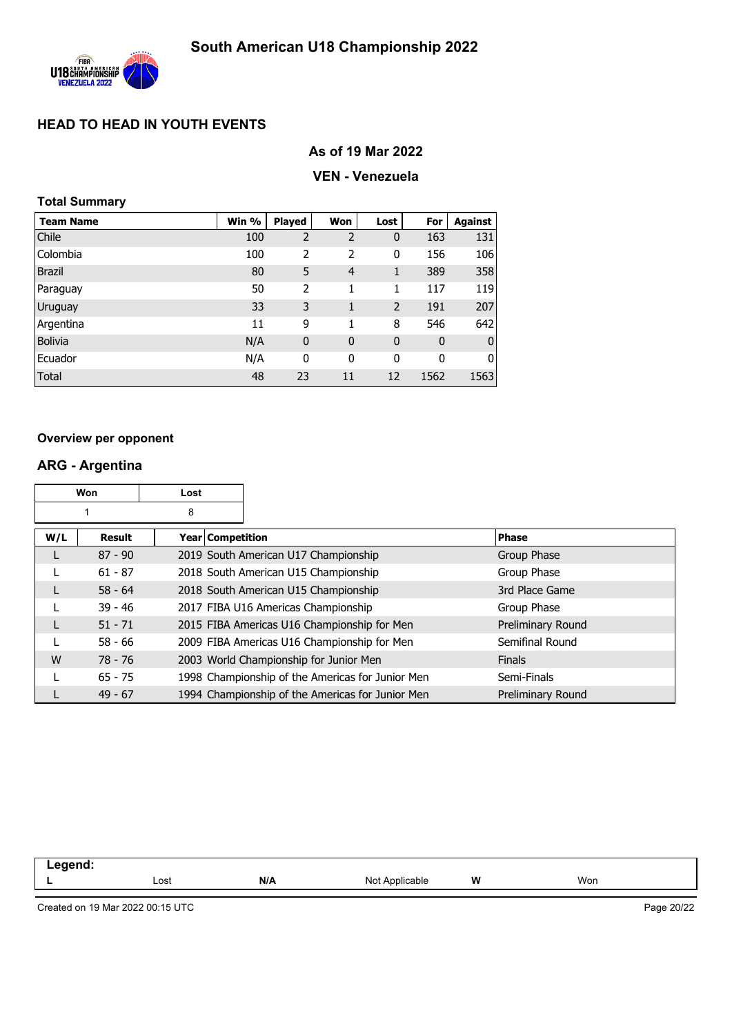

## **As of 19 Mar 2022**

### **VEN - Venezuela**

### **Total Summary**

| <b>Team Name</b> | Win % | <b>Played</b>  | Won            | Lost           | For         | <b>Against</b>   |
|------------------|-------|----------------|----------------|----------------|-------------|------------------|
| Chile            | 100   | $\overline{2}$ | 2              | 0              | 163         | 131              |
| Colombia         | 100   | 2              | 2              | 0              | 156         | 106              |
| <b>Brazil</b>    | 80    | 5              | $\overline{4}$ | 1              | 389         | 358              |
| Paraguay         | 50    | $\overline{2}$ | 1              | 1              | 117         | 119              |
| Uruguay          | 33    | 3              | 1              | $\overline{2}$ | 191         | 207              |
| Argentina        | 11    | 9              | 1              | 8              | 546         | 642              |
| <b>Bolivia</b>   | N/A   | $\mathbf 0$    | $\mathbf 0$    | $\mathbf 0$    | $\mathbf 0$ | $\boldsymbol{0}$ |
| Ecuador          | N/A   | 0              | 0              | 0              | 0           | $\overline{0}$   |
| Total            | 48    | 23             | 11             | 12             | 1562        | 1563             |

#### **Overview per opponent**

## **ARG - Argentina**

| Won |               | Lost             |                                                  |                   |
|-----|---------------|------------------|--------------------------------------------------|-------------------|
|     |               | 8                |                                                  |                   |
| W/L | <b>Result</b> | Year Competition |                                                  | <b>Phase</b>      |
| L   | $87 - 90$     |                  | 2019 South American U17 Championship             | Group Phase       |
|     | $61 - 87$     |                  | 2018 South American U15 Championship             | Group Phase       |
| L   | $58 - 64$     |                  | 2018 South American U15 Championship             | 3rd Place Game    |
|     | $39 - 46$     |                  | 2017 FIBA U16 Americas Championship              | Group Phase       |
| L   | $51 - 71$     |                  | 2015 FIBA Americas U16 Championship for Men      | Preliminary Round |
|     | $58 - 66$     |                  | 2009 FIBA Americas U16 Championship for Men      | Semifinal Round   |
| W   | 78 - 76       |                  | 2003 World Championship for Junior Men           | <b>Finals</b>     |
|     | $65 - 75$     |                  | 1998 Championship of the Americas for Junior Men | Semi-Finals       |
|     | $49 - 67$     |                  | 1994 Championship of the Americas for Junior Men | Preliminary Round |

| .  |      |     |                       |   |     |
|----|------|-----|-----------------------|---|-----|
| -- | Lost | N/A | <b>licable</b><br>Not | w | Won |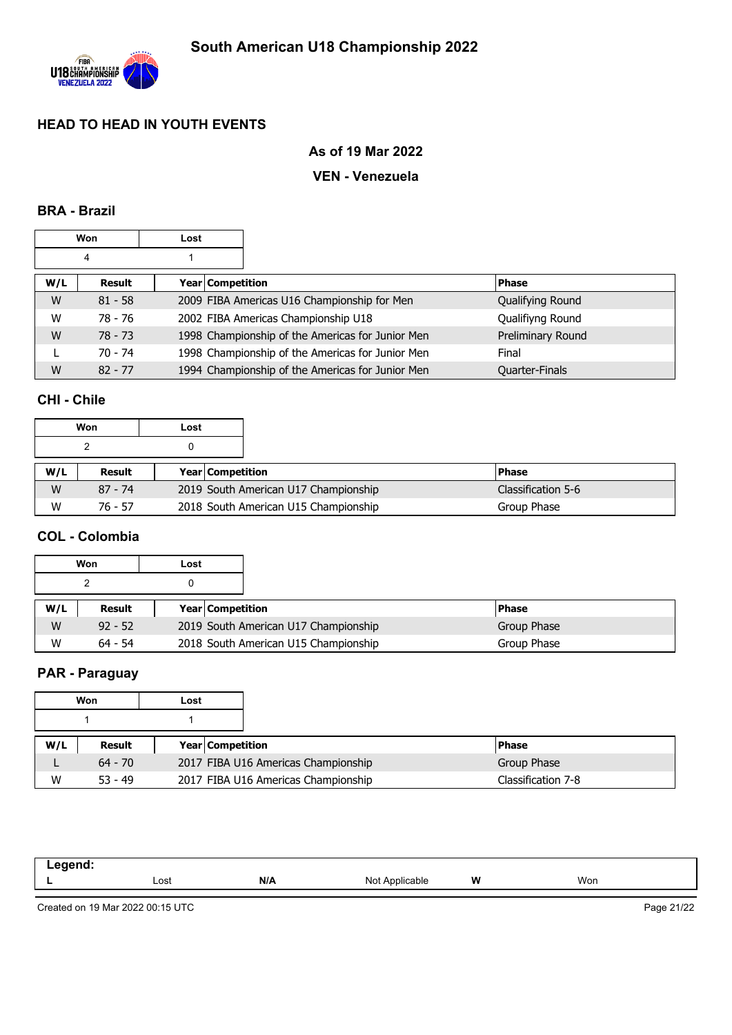

### **As of 19 Mar 2022**

### **VEN - Venezuela**

### **BRA - Brazil**

|     | Won       | Lost             |                                                  |                   |
|-----|-----------|------------------|--------------------------------------------------|-------------------|
|     | 4         |                  |                                                  |                   |
| W/L | Result    | Year Competition |                                                  | <b>Phase</b>      |
| W   | $81 - 58$ |                  | 2009 FIBA Americas U16 Championship for Men      | Qualifying Round  |
| W   | 78 - 76   |                  | 2002 FIBA Americas Championship U18              | Qualifiyng Round  |
| W   | $78 - 73$ |                  | 1998 Championship of the Americas for Junior Men | Preliminary Round |
|     | $70 - 74$ |                  | 1998 Championship of the Americas for Junior Men | Final             |
| W   | $82 - 77$ |                  | 1994 Championship of the Americas for Junior Men | Quarter-Finals    |

## **CHI - Chile**

|     | Won       | Lost |                         |                                      |                    |  |
|-----|-----------|------|-------------------------|--------------------------------------|--------------------|--|
|     |           |      |                         |                                      |                    |  |
| W/L | Result    |      | <b>Year Competition</b> |                                      | <b>Phase</b>       |  |
| W   | $87 - 74$ |      |                         | 2019 South American U17 Championship | Classification 5-6 |  |
| W   | $76 - 57$ |      |                         | 2018 South American U15 Championship | Group Phase        |  |

## **COL - Colombia**

|     | Won       | Lost |                         |                                      |              |
|-----|-----------|------|-------------------------|--------------------------------------|--------------|
|     |           |      |                         |                                      |              |
| W/L | Result    |      | <b>Year Competition</b> |                                      | <b>Phase</b> |
| W   | $92 - 52$ |      |                         | 2019 South American U17 Championship | Group Phase  |
| W   | $64 - 54$ |      |                         | 2018 South American U15 Championship | Group Phase  |

## **PAR - Paraguay**

|     | Won       | Lost |                         |                                     |                    |
|-----|-----------|------|-------------------------|-------------------------------------|--------------------|
|     |           |      |                         |                                     |                    |
| W/L | Result    |      | <b>Year Competition</b> |                                     | <b>IPhase</b>      |
|     | $64 - 70$ |      |                         | 2017 FIBA U16 Americas Championship | Group Phase        |
| W   | $53 - 49$ |      |                         | 2017 FIBA U16 Americas Championship | Classification 7-8 |

| -- | Lost | N/A | Not<br>Applicable | W | Won |
|----|------|-----|-------------------|---|-----|